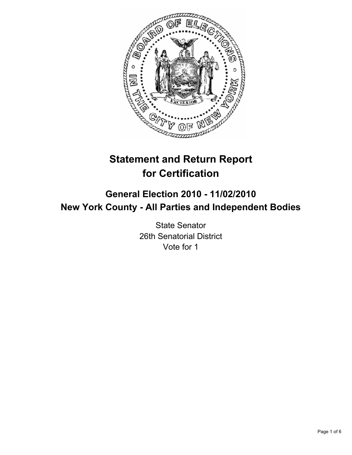

# **Statement and Return Report for Certification**

## **General Election 2010 - 11/02/2010 New York County - All Parties and Independent Bodies**

State Senator 26th Senatorial District Vote for 1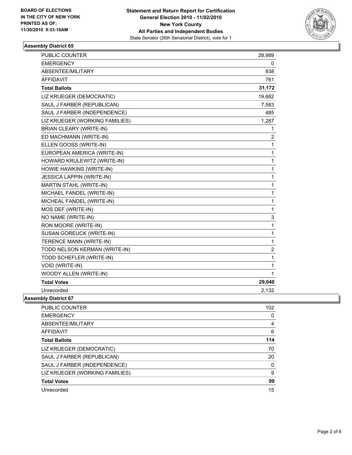

## **Assembly District 65**

| PUBLIC COUNTER                   | 28,989         |
|----------------------------------|----------------|
| <b>EMERGENCY</b>                 | 0              |
| ABSENTEE/MILITARY                | 938            |
| <b>AFFIDAVIT</b>                 | 761            |
| <b>Total Ballots</b>             | 31,172         |
| LIZ KRUEGER (DEMOCRATIC)         | 19,662         |
| SAUL J FARBER (REPUBLICAN)       | 7,583          |
| SAUL J FARBER (INDEPENDENCE)     | 485            |
| LIZ KRUEGER (WORKING FAMILIES)   | 1,287          |
| <b>BRIAN CLEARY (WRITE-IN)</b>   | 1              |
| ED MACHMANN (WRITE-IN)           | 2              |
| ELLEN GOOSS (WRITE-IN)           | 1              |
| EUROPEAN AMERICA (WRITE-IN)      | 1              |
| HOWARD KRULEWITZ (WRITE-IN)      | 1              |
| HOWIE HAWKINS (WRITE-IN)         | 1              |
| <b>JESSICA LAPPIN (WRITE-IN)</b> | 1              |
| MARTIN STAHL (WRITE-IN)          | 1              |
| MICHAEL FANDEL (WRITE-IN)        | 1              |
| MICHEAL FANDEL (WRITE-IN)        | 1              |
| MOS DEF (WRITE-IN)               | 1              |
| NO NAME (WRITE-IN)               | 3              |
| RON MOORE (WRITE-IN)             | 1              |
| <b>SUSAN GOREUCK (WRITE-IN)</b>  | 1              |
| TERENCE MANN (WRITE-IN)          | 1              |
| TODD NELSON KERMAN (WRITE-IN)    | $\overline{c}$ |
| TODD SCHEFLER (WRITE-IN)         | 1              |
| VOID (WRITE-IN)                  | 1              |
| WOODY ALLEN (WRITE-IN)           | 1              |
| <b>Total Votes</b>               | 29,040         |
| Unrecorded                       | 2,132          |

### **Assembly District 67**

| <b>PUBLIC COUNTER</b>          | 102 |
|--------------------------------|-----|
| <b>EMERGENCY</b>               | 0   |
| ABSENTEE/MILITARY              | 4   |
| AFFIDAVIT                      | 6   |
| <b>Total Ballots</b>           | 114 |
| LIZ KRUEGER (DEMOCRATIC)       | 70  |
| SAUL J FARBER (REPUBLICAN)     | 20  |
| SAUL J FARBER (INDEPENDENCE)   | 0   |
| LIZ KRUEGER (WORKING FAMILIES) | 9   |
| <b>Total Votes</b>             | 99  |
| Unrecorded                     | 15  |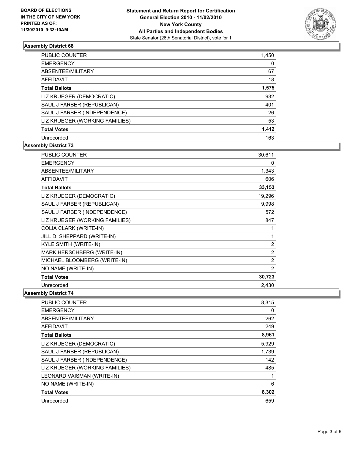

## **Assembly District 68**

| <b>PUBLIC COUNTER</b>          | 1,450 |
|--------------------------------|-------|
| <b>EMERGENCY</b>               | 0     |
| ABSENTEE/MILITARY              | 67    |
| AFFIDAVIT                      | 18    |
| <b>Total Ballots</b>           | 1,575 |
| LIZ KRUEGER (DEMOCRATIC)       | 932   |
| SAUL J FARBER (REPUBLICAN)     | 401   |
| SAUL J FARBER (INDEPENDENCE)   | 26    |
| LIZ KRUEGER (WORKING FAMILIES) | 53    |
| <b>Total Votes</b>             | 1,412 |
| Unrecorded                     | 163   |

## **Assembly District 73**

| <b>PUBLIC COUNTER</b>          | 30,611         |
|--------------------------------|----------------|
| <b>EMERGENCY</b>               | 0              |
| ABSENTEE/MILITARY              | 1,343          |
| <b>AFFIDAVIT</b>               | 606            |
| <b>Total Ballots</b>           | 33,153         |
| LIZ KRUEGER (DEMOCRATIC)       | 19,296         |
| SAUL J FARBER (REPUBLICAN)     | 9,998          |
| SAUL J FARBER (INDEPENDENCE)   | 572            |
| LIZ KRUEGER (WORKING FAMILIES) | 847            |
| COLIA CLARK (WRITE-IN)         | 1              |
| JILL D. SHEPPARD (WRITE-IN)    | 1              |
| KYLE SMITH (WRITE-IN)          | $\overline{2}$ |
| MARK HERSCHBERG (WRITE-IN)     | $\overline{2}$ |
| MICHAEL BLOOMBERG (WRITE-IN)   | 2              |
| NO NAME (WRITE-IN)             | $\overline{2}$ |
| <b>Total Votes</b>             | 30,723         |
| Unrecorded                     | 2,430          |

**Assembly District 74**

| PUBLIC COUNTER                 | 8,315 |
|--------------------------------|-------|
| <b>EMERGENCY</b>               | 0     |
| ABSENTEE/MILITARY              | 262   |
| <b>AFFIDAVIT</b>               | 249   |
| <b>Total Ballots</b>           | 8,961 |
| LIZ KRUEGER (DEMOCRATIC)       | 5,929 |
| SAUL J FARBER (REPUBLICAN)     | 1,739 |
| SAUL J FARBER (INDEPENDENCE)   | 142   |
| LIZ KRUEGER (WORKING FAMILIES) | 485   |
| LEONARD VAISMAN (WRITE-IN)     | 1     |
| NO NAME (WRITE-IN)             | 6     |
| <b>Total Votes</b>             | 8,302 |
| Unrecorded                     | 659   |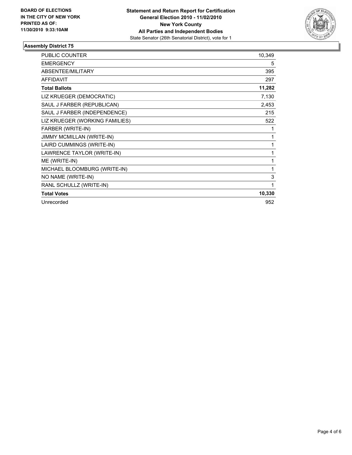

## **Assembly District 75**

| <b>PUBLIC COUNTER</b>          | 10,349 |
|--------------------------------|--------|
| <b>EMERGENCY</b>               | 5      |
| ABSENTEE/MILITARY              | 395    |
| <b>AFFIDAVIT</b>               | 297    |
| <b>Total Ballots</b>           | 11,282 |
| LIZ KRUEGER (DEMOCRATIC)       | 7,130  |
| SAUL J FARBER (REPUBLICAN)     | 2,453  |
| SAUL J FARBER (INDEPENDENCE)   | 215    |
| LIZ KRUEGER (WORKING FAMILIES) | 522    |
| FARBER (WRITE-IN)              | 1      |
| JIMMY MCMILLAN (WRITE-IN)      | 1      |
| LAIRD CUMMINGS (WRITE-IN)      | 1      |
| LAWRENCE TAYLOR (WRITE-IN)     | 1      |
| ME (WRITE-IN)                  | 1      |
| MICHAEL BLOOMBURG (WRITE-IN)   | 1      |
| NO NAME (WRITE-IN)             | 3      |
| RANL SCHULLZ (WRITE-IN)        | 1      |
| <b>Total Votes</b>             | 10,330 |
| Unrecorded                     | 952    |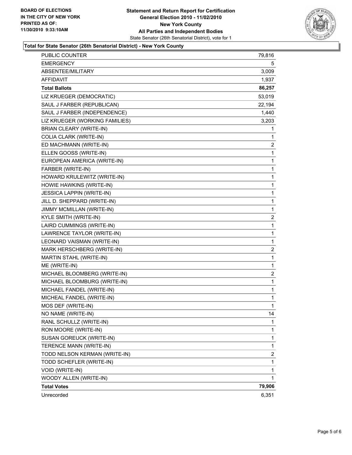

### **Total for State Senator (26th Senatorial District) - New York County**

| PUBLIC COUNTER                   | 79,816       |
|----------------------------------|--------------|
| <b>EMERGENCY</b>                 | 5            |
| ABSENTEE/MILITARY                | 3,009        |
| AFFIDAVIT                        | 1,937        |
| <b>Total Ballots</b>             | 86,257       |
| LIZ KRUEGER (DEMOCRATIC)         | 53,019       |
| SAUL J FARBER (REPUBLICAN)       | 22,194       |
| SAUL J FARBER (INDEPENDENCE)     | 1,440        |
| LIZ KRUEGER (WORKING FAMILIES)   | 3,203        |
| BRIAN CLEARY (WRITE-IN)          | 1            |
| COLIA CLARK (WRITE-IN)           | 1            |
| ED MACHMANN (WRITE-IN)           | $\mathbf{2}$ |
| ELLEN GOOSS (WRITE-IN)           | 1            |
| EUROPEAN AMERICA (WRITE-IN)      | $\mathbf{1}$ |
| FARBER (WRITE-IN)                | 1            |
| HOWARD KRULEWITZ (WRITE-IN)      | 1            |
| HOWIE HAWKINS (WRITE-IN)         | 1            |
| <b>JESSICA LAPPIN (WRITE-IN)</b> | 1            |
| JILL D. SHEPPARD (WRITE-IN)      | 1            |
| JIMMY MCMILLAN (WRITE-IN)        | 1            |
| KYLE SMITH (WRITE-IN)            | 2            |
| LAIRD CUMMINGS (WRITE-IN)        | 1            |
| LAWRENCE TAYLOR (WRITE-IN)       | $\mathbf{1}$ |
| LEONARD VAISMAN (WRITE-IN)       | 1            |
| MARK HERSCHBERG (WRITE-IN)       | 2            |
| MARTIN STAHL (WRITE-IN)          | $\mathbf{1}$ |
| ME (WRITE-IN)                    | 1            |
| MICHAEL BLOOMBERG (WRITE-IN)     | 2            |
| MICHAEL BLOOMBURG (WRITE-IN)     | 1            |
| MICHAEL FANDEL (WRITE-IN)        | 1            |
| MICHEAL FANDEL (WRITE-IN)        | 1            |
| MOS DEF (WRITE-IN)               | 1            |
| NO NAME (WRITE-IN)               | 14           |
| RANL SCHULLZ (WRITE-IN)          | 1            |
| RON MOORE (WRITE-IN)             | 1            |
| SUSAN GOREUCK (WRITE-IN)         | 1            |
| TERENCE MANN (WRITE-IN)          | 1            |
| TODD NELSON KERMAN (WRITE-IN)    | 2            |
| TODD SCHEFLER (WRITE-IN)         | 1            |
| VOID (WRITE-IN)                  | 1            |
| WOODY ALLEN (WRITE-IN)           | $\mathbf{1}$ |
| <b>Total Votes</b>               | 79,906       |
| Unrecorded                       | 6,351        |